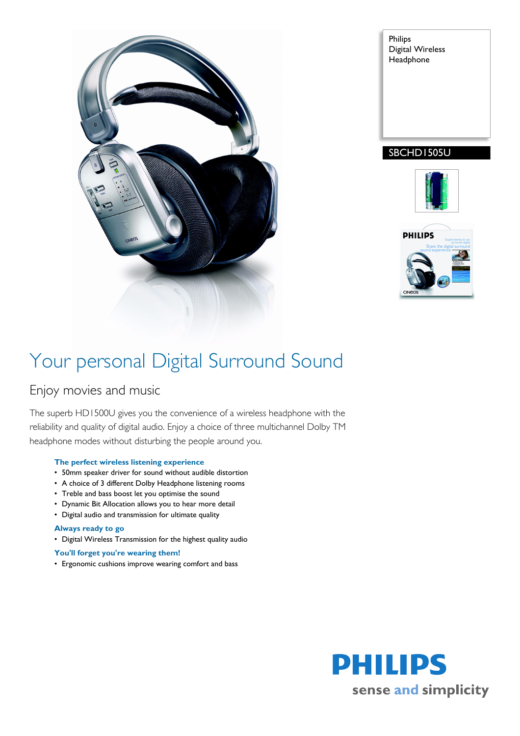

Philips Digital Wireless Headphone

## SBCHD1505U





# Your personal Digital Surround Sound

## Enjoy movies and music

The superb HD1500U gives you the convenience of a wireless headphone with the reliability and quality of digital audio. Enjoy a choice of three multichannel Dolby TM headphone modes without disturbing the people around you.

#### **The perfect wireless listening experience**

- 50mm speaker driver for sound without audible distortion
- A choice of 3 different Dolby Headphone listening rooms
- Treble and bass boost let you optimise the sound
- Dynamic Bit Allocation allows you to hear more detail
- Digital audio and transmission for ultimate quality

### **Always ready to go**

• Digital Wireless Transmission for the highest quality audio

### **You'll forget you're wearing them!**

• Ergonomic cushions improve wearing comfort and bass